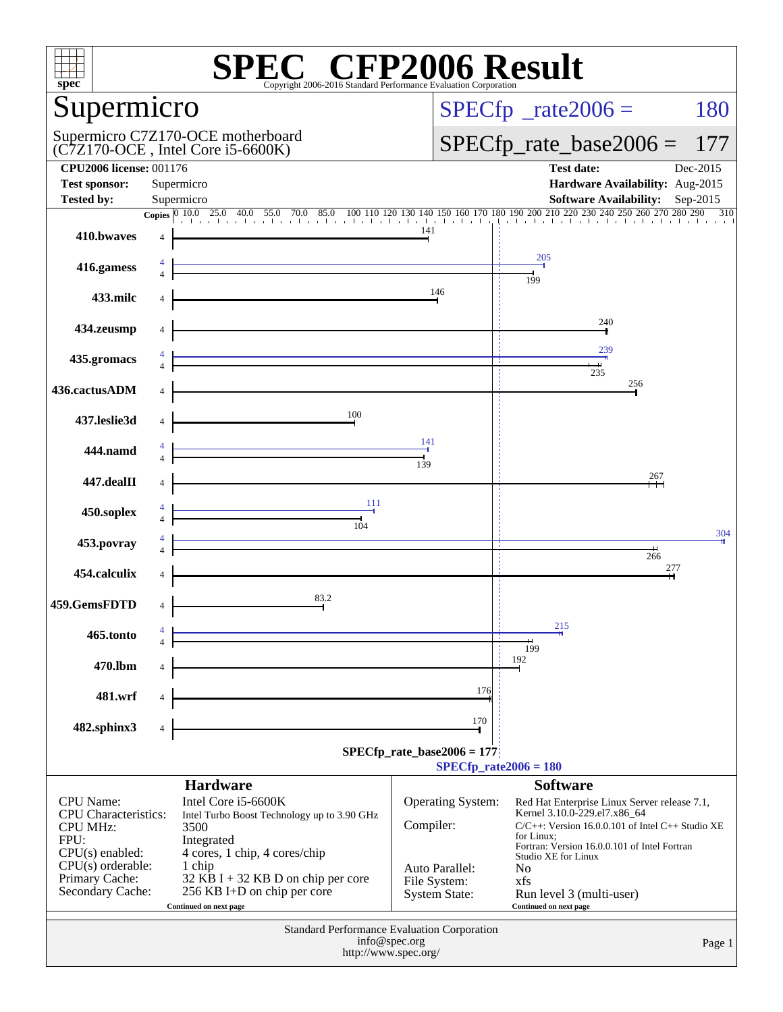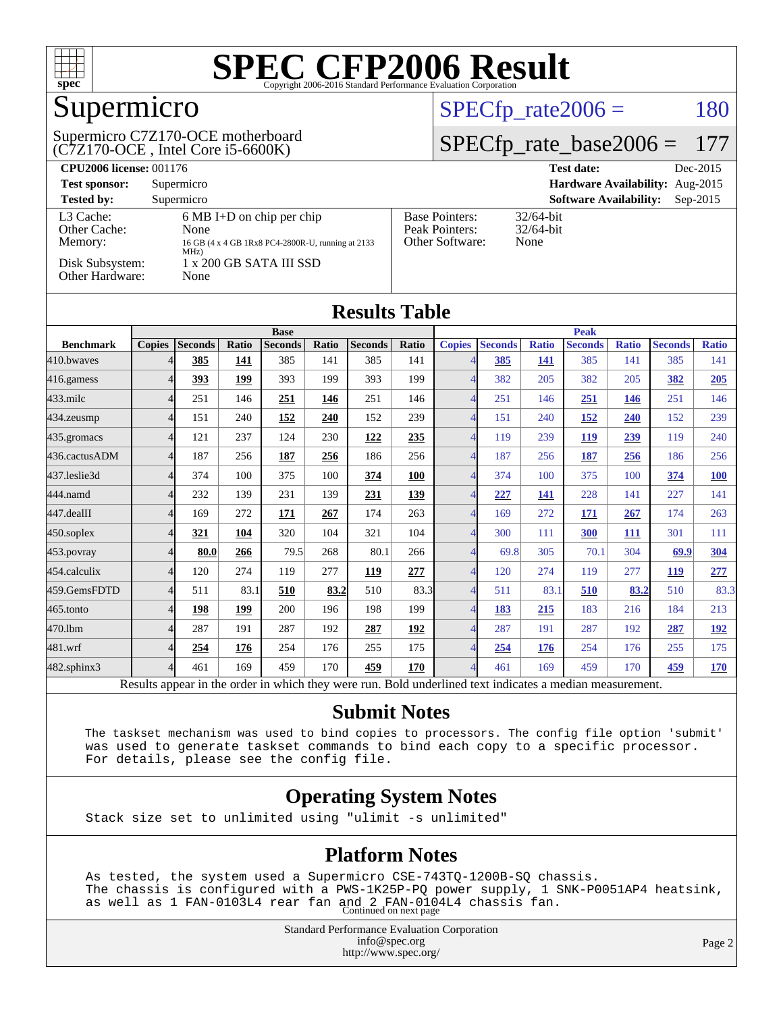

# Supermicro

#### (C7Z170-OCE , Intel Core i5-6600K) Supermicro C7Z170-OCE motherboard

#### $SPECfp_rate2006 = 180$  $SPECfp_rate2006 = 180$

#### [SPECfp\\_rate\\_base2006 =](http://www.spec.org/auto/cpu2006/Docs/result-fields.html#SPECfpratebase2006) 177

| <b>CPU2006 license: 001176</b>       |                                                                                                          |                                                            | <b>Test date:</b><br>Dec-2015               |
|--------------------------------------|----------------------------------------------------------------------------------------------------------|------------------------------------------------------------|---------------------------------------------|
| <b>Test sponsor:</b>                 | Supermicro                                                                                               | <b>Hardware Availability:</b> Aug-2015                     |                                             |
| <b>Tested by:</b>                    | Supermicro                                                                                               |                                                            | <b>Software Availability:</b><br>$Sep-2015$ |
| L3 Cache:<br>Other Cache:<br>Memory: | $6 \text{ MB I+D}$ on chip per chip<br>None<br>16 GB (4 x 4 GB 1Rx8 PC4-2800R-U, running at 2133<br>MHz) | <b>Base Pointers:</b><br>Peak Pointers:<br>Other Software: | $32/64$ -bit<br>$32/64$ -bit<br>None        |
| Disk Subsystem:<br>Other Hardware:   | 1 x 200 GB SATA III SSD<br>None                                                                          |                                                            |                                             |

| <b>Results Table</b> |                |                |       |                |       |                |             |                          |                |              |                |              |                |              |
|----------------------|----------------|----------------|-------|----------------|-------|----------------|-------------|--------------------------|----------------|--------------|----------------|--------------|----------------|--------------|
|                      | <b>Base</b>    |                |       |                |       |                | <b>Peak</b> |                          |                |              |                |              |                |              |
| <b>Benchmark</b>     | <b>Copies</b>  | <b>Seconds</b> | Ratio | <b>Seconds</b> | Ratio | <b>Seconds</b> | Ratio       | <b>Copies</b>            | <b>Seconds</b> | <b>Ratio</b> | <b>Seconds</b> | <b>Ratio</b> | <b>Seconds</b> | <b>Ratio</b> |
| 410.bwayes           |                | 385            | 141   | 385            | 141   | 385            | 141         |                          | 385            | 141          | 385            | 141          | 385            | 141          |
| 416.gamess           | $\overline{4}$ | 393            | 199   | 393            | 199   | 393            | 199         |                          | 382            | 205          | 382            | 205          | 382            | 205          |
| $433$ .milc          | $\overline{4}$ | 251            | 146   | 251            | 146   | 251            | 146         | 4                        | 251            | 146          | 251            | 146          | 251            | 146          |
| 434.zeusmp           | $\overline{4}$ | 151            | 240   | <u>152</u>     | 240   | 152            | 239         | $\boldsymbol{\varDelta}$ | 151            | 240          | <u>152</u>     | 240          | 152            | 239          |
| 435.gromacs          | $\overline{4}$ | 121            | 237   | 124            | 230   | 122            | 235         | $\overline{4}$           | 119            | 239          | 119            | 239          | 119            | 240          |
| 436.cactusADM        | $\overline{4}$ | 187            | 256   | 187            | 256   | 186            | 256         | 4                        | 187            | 256          | 187            | 256          | 186            | 256          |
| 437.leslie3d         | $\overline{4}$ | 374            | 100   | 375            | 100   | 374            | 100         |                          | 374            | 100          | 375            | 100          | 374            | <b>100</b>   |
| 444.namd             | $\overline{4}$ | 232            | 139   | 231            | 139   | 231            | 139         | Λ                        | 227            | 141          | 228            | 141          | 227            | 141          |
| 447.dealII           | $\overline{4}$ | 169            | 272   | <b>171</b>     | 267   | 174            | 263         | $\boldsymbol{\varDelta}$ | 169            | 272          | <b>171</b>     | 267          | 174            | 263          |
| $450$ .soplex        | $\overline{4}$ | 321            | 104   | 320            | 104   | 321            | 104         | $\overline{4}$           | 300            | 111          | 300            | <b>111</b>   | 301            | 111          |
| 453.povray           | $\overline{4}$ | 80.0           | 266   | 79.5           | 268   | 80.1           | 266         | $\overline{4}$           | 69.8           | 305          | 70.1           | 304          | 69.9           | <u>304</u>   |
| 454.calculix         | $\overline{4}$ | 120            | 274   | 119            | 277   | <u>119</u>     | 277         | 4                        | 120            | 274          | 119            | 277          | 119            | 277          |
| 459.GemsFDTD         | $\overline{4}$ | 511            | 83.1  | 510            | 83.2  | 510            | 83.3        | 4                        | 511            | 83.1         | 510            | 83.2         | 510            | 83.3         |
| 465.tonto            | $\overline{4}$ | 198            | 199   | 200            | 196   | 198            | 199         | $\overline{\mathcal{A}}$ | 183            | 215          | 183            | 216          | 184            | 213          |
| 470.lbm              | $\overline{4}$ | 287            | 191   | 287            | 192   | 287            | 192         | $\overline{4}$           | 287            | 191          | 287            | 192          | 287            | <u>192</u>   |
| 481.wrf              | $\overline{4}$ | 254            | 176   | 254            | 176   | 255            | 175         | 4                        | 254            | 176          | 254            | 176          | 255            | 175          |
| 482.sphinx3          | 4              | 461            | 169   | 459            | 170   | 459            | 170         | 4                        | 461            | 169          | 459            | 170          | 459            | <u>170</u>   |

Results appear in the [order in which they were run.](http://www.spec.org/auto/cpu2006/Docs/result-fields.html#RunOrder) Bold underlined text [indicates a median measurement.](http://www.spec.org/auto/cpu2006/Docs/result-fields.html#Median)

#### **[Submit Notes](http://www.spec.org/auto/cpu2006/Docs/result-fields.html#SubmitNotes)**

 The taskset mechanism was used to bind copies to processors. The config file option 'submit' was used to generate taskset commands to bind each copy to a specific processor. For details, please see the config file.

#### **[Operating System Notes](http://www.spec.org/auto/cpu2006/Docs/result-fields.html#OperatingSystemNotes)**

Stack size set to unlimited using "ulimit -s unlimited"

#### **[Platform Notes](http://www.spec.org/auto/cpu2006/Docs/result-fields.html#PlatformNotes)**

 As tested, the system used a Supermicro CSE-743TQ-1200B-SQ chassis. The chassis is configured with a PWS-1K25P-PQ power supply, 1 SNK-P0051AP4 heatsink, as well as 1 FAN-0103L4 rear fan and 2 FAN-0104L4 chassis fan. Continued on next page

> Standard Performance Evaluation Corporation [info@spec.org](mailto:info@spec.org) <http://www.spec.org/>

Page 2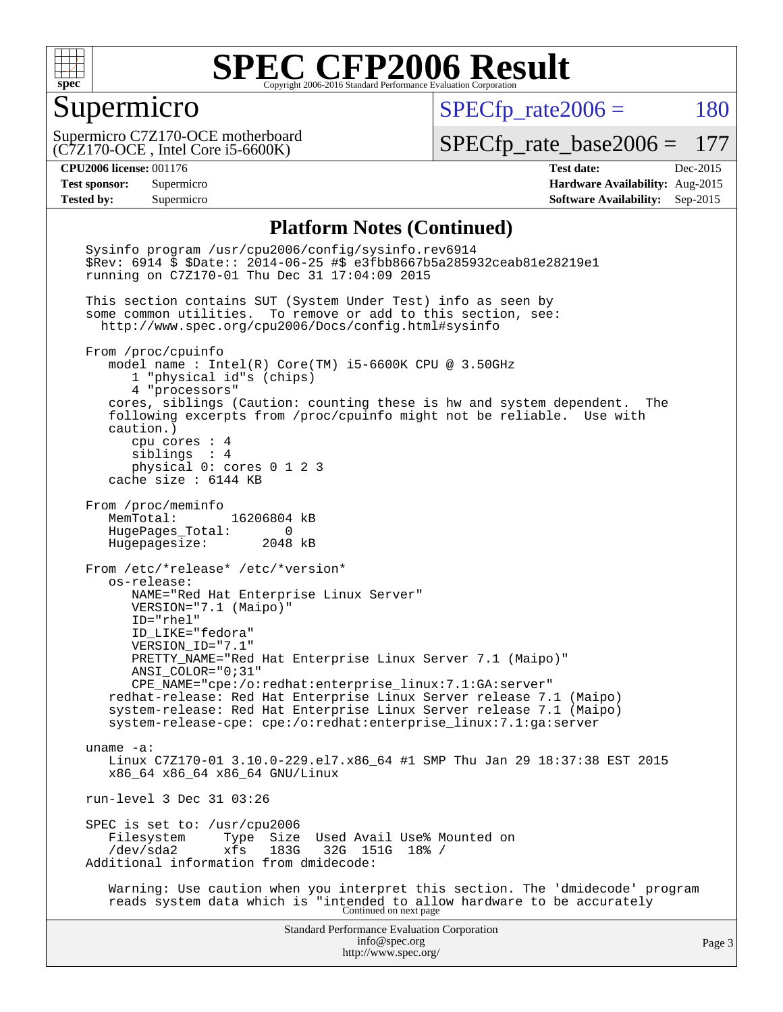

#### Supermicro

 $SPECfp_rate2006 = 180$  $SPECfp_rate2006 = 180$ 

(C7Z170-OCE , Intel Core i5-6600K) Supermicro C7Z170-OCE motherboard

[SPECfp\\_rate\\_base2006 =](http://www.spec.org/auto/cpu2006/Docs/result-fields.html#SPECfpratebase2006) 177

**[CPU2006 license:](http://www.spec.org/auto/cpu2006/Docs/result-fields.html#CPU2006license)** 001176 **[Test date:](http://www.spec.org/auto/cpu2006/Docs/result-fields.html#Testdate)** Dec-2015 **[Test sponsor:](http://www.spec.org/auto/cpu2006/Docs/result-fields.html#Testsponsor)** Supermicro **[Hardware Availability:](http://www.spec.org/auto/cpu2006/Docs/result-fields.html#HardwareAvailability)** Aug-2015 **[Tested by:](http://www.spec.org/auto/cpu2006/Docs/result-fields.html#Testedby)** Supermicro **Supermicro [Software Availability:](http://www.spec.org/auto/cpu2006/Docs/result-fields.html#SoftwareAvailability)** Sep-2015

#### **[Platform Notes \(Continued\)](http://www.spec.org/auto/cpu2006/Docs/result-fields.html#PlatformNotes)**

Standard Performance Evaluation Corporation [info@spec.org](mailto:info@spec.org) <http://www.spec.org/> Page 3 Sysinfo program /usr/cpu2006/config/sysinfo.rev6914 \$Rev: 6914 \$ \$Date:: 2014-06-25 #\$ e3fbb8667b5a285932ceab81e28219e1 running on C7Z170-01 Thu Dec 31 17:04:09 2015 This section contains SUT (System Under Test) info as seen by some common utilities. To remove or add to this section, see: <http://www.spec.org/cpu2006/Docs/config.html#sysinfo> From /proc/cpuinfo model name : Intel(R) Core(TM) i5-6600K CPU @ 3.50GHz 1 "physical id"s (chips) 4 "processors" cores, siblings (Caution: counting these is hw and system dependent. The following excerpts from /proc/cpuinfo might not be reliable. Use with caution.) cpu cores : 4 siblings : 4 physical 0: cores 0 1 2 3 cache size : 6144 KB From /proc/meminfo MemTotal: 16206804 kB HugePages\_Total: 0 Hugepagesize: 2048 kB From /etc/\*release\* /etc/\*version\* os-release: NAME="Red Hat Enterprise Linux Server" VERSION="7.1 (Maipo)" ID="rhel" ID\_LIKE="fedora" VERSION\_ID="7.1" PRETTY\_NAME="Red Hat Enterprise Linux Server 7.1 (Maipo)" ANSI\_COLOR="0;31" CPE\_NAME="cpe:/o:redhat:enterprise\_linux:7.1:GA:server" redhat-release: Red Hat Enterprise Linux Server release 7.1 (Maipo) system-release: Red Hat Enterprise Linux Server release 7.1 (Maipo) system-release-cpe: cpe:/o:redhat:enterprise\_linux:7.1:ga:server uname -a: Linux C7Z170-01 3.10.0-229.el7.x86\_64 #1 SMP Thu Jan 29 18:37:38 EST 2015 x86\_64 x86\_64 x86\_64 GNU/Linux run-level 3 Dec 31 03:26 SPEC is set to: /usr/cpu2006<br>Filesystem Type Size Type Size Used Avail Use% Mounted on<br>xfs 183G 32G 151G 18% / /dev/sda2 xfs 183G 32G 151G 18% / Additional information from dmidecode: Warning: Use caution when you interpret this section. The 'dmidecode' program reads system data which is "intended to allow hardware to be accurately Continued on next page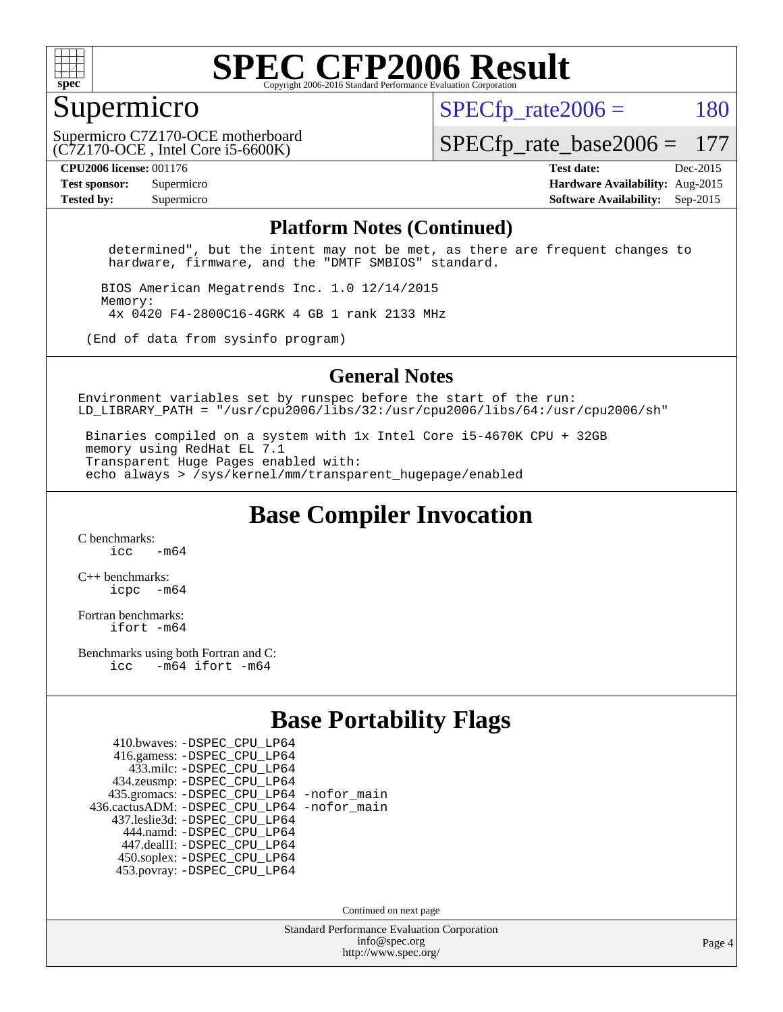

#### Supermicro

 $SPECTp\_rate2006 = 180$ 

(C7Z170-OCE , Intel Core i5-6600K) Supermicro C7Z170-OCE motherboard

[SPECfp\\_rate\\_base2006 =](http://www.spec.org/auto/cpu2006/Docs/result-fields.html#SPECfpratebase2006) 177

**[CPU2006 license:](http://www.spec.org/auto/cpu2006/Docs/result-fields.html#CPU2006license)** 001176 **[Test date:](http://www.spec.org/auto/cpu2006/Docs/result-fields.html#Testdate)** Dec-2015

**[Test sponsor:](http://www.spec.org/auto/cpu2006/Docs/result-fields.html#Testsponsor)** Supermicro **[Hardware Availability:](http://www.spec.org/auto/cpu2006/Docs/result-fields.html#HardwareAvailability)** Aug-2015 **[Tested by:](http://www.spec.org/auto/cpu2006/Docs/result-fields.html#Testedby)** Supermicro **Supermicro [Software Availability:](http://www.spec.org/auto/cpu2006/Docs/result-fields.html#SoftwareAvailability)** Sep-2015

#### **[Platform Notes \(Continued\)](http://www.spec.org/auto/cpu2006/Docs/result-fields.html#PlatformNotes)**

 determined", but the intent may not be met, as there are frequent changes to hardware, firmware, and the "DMTF SMBIOS" standard.

 BIOS American Megatrends Inc. 1.0 12/14/2015 Memory: 4x 0420 F4-2800C16-4GRK 4 GB 1 rank 2133 MHz

(End of data from sysinfo program)

#### **[General Notes](http://www.spec.org/auto/cpu2006/Docs/result-fields.html#GeneralNotes)**

Environment variables set by runspec before the start of the run: LD LIBRARY PATH = "/usr/cpu2006/libs/32:/usr/cpu2006/libs/64:/usr/cpu2006/sh"

 Binaries compiled on a system with 1x Intel Core i5-4670K CPU + 32GB memory using RedHat EL 7.1 Transparent Huge Pages enabled with: echo always > /sys/kernel/mm/transparent\_hugepage/enabled

**[Base Compiler Invocation](http://www.spec.org/auto/cpu2006/Docs/result-fields.html#BaseCompilerInvocation)**

[C benchmarks](http://www.spec.org/auto/cpu2006/Docs/result-fields.html#Cbenchmarks):  $\frac{1}{2}$  cc  $-$  m64

[C++ benchmarks:](http://www.spec.org/auto/cpu2006/Docs/result-fields.html#CXXbenchmarks) [icpc -m64](http://www.spec.org/cpu2006/results/res2016q1/cpu2006-20160106-38549.flags.html#user_CXXbase_intel_icpc_64bit_bedb90c1146cab66620883ef4f41a67e)

[Fortran benchmarks](http://www.spec.org/auto/cpu2006/Docs/result-fields.html#Fortranbenchmarks): [ifort -m64](http://www.spec.org/cpu2006/results/res2016q1/cpu2006-20160106-38549.flags.html#user_FCbase_intel_ifort_64bit_ee9d0fb25645d0210d97eb0527dcc06e)

[Benchmarks using both Fortran and C](http://www.spec.org/auto/cpu2006/Docs/result-fields.html#BenchmarksusingbothFortranandC): [icc -m64](http://www.spec.org/cpu2006/results/res2016q1/cpu2006-20160106-38549.flags.html#user_CC_FCbase_intel_icc_64bit_0b7121f5ab7cfabee23d88897260401c) [ifort -m64](http://www.spec.org/cpu2006/results/res2016q1/cpu2006-20160106-38549.flags.html#user_CC_FCbase_intel_ifort_64bit_ee9d0fb25645d0210d97eb0527dcc06e)

#### **[Base Portability Flags](http://www.spec.org/auto/cpu2006/Docs/result-fields.html#BasePortabilityFlags)**

| 410.bwaves: - DSPEC CPU LP64                 |  |
|----------------------------------------------|--|
| 416.gamess: -DSPEC_CPU_LP64                  |  |
| 433.milc: -DSPEC CPU LP64                    |  |
| 434.zeusmp: -DSPEC_CPU_LP64                  |  |
| 435.gromacs: -DSPEC_CPU_LP64 -nofor_main     |  |
| 436.cactusADM: - DSPEC CPU LP64 - nofor main |  |
| 437.leslie3d: -DSPEC_CPU_LP64                |  |
| 444.namd: - DSPEC CPU LP64                   |  |
| 447.dealII: -DSPEC CPU LP64                  |  |
| 450.soplex: -DSPEC_CPU_LP64                  |  |
| 453.povray: -DSPEC CPU LP64                  |  |

Continued on next page

Standard Performance Evaluation Corporation [info@spec.org](mailto:info@spec.org) <http://www.spec.org/>

Page 4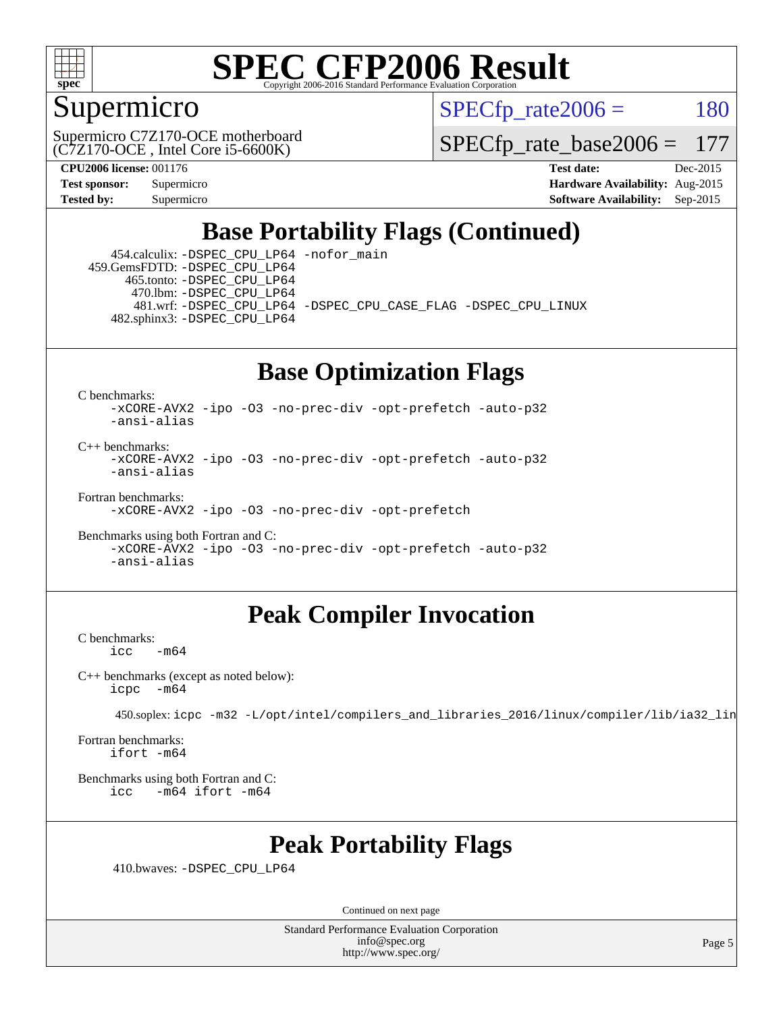

#### Supermicro

 $SPECTp\_rate2006 = 180$ 

(C7Z170-OCE , Intel Core i5-6600K) Supermicro C7Z170-OCE motherboard

[SPECfp\\_rate\\_base2006 =](http://www.spec.org/auto/cpu2006/Docs/result-fields.html#SPECfpratebase2006) 177

**[CPU2006 license:](http://www.spec.org/auto/cpu2006/Docs/result-fields.html#CPU2006license)** 001176 **[Test date:](http://www.spec.org/auto/cpu2006/Docs/result-fields.html#Testdate)** Dec-2015 **[Test sponsor:](http://www.spec.org/auto/cpu2006/Docs/result-fields.html#Testsponsor)** Supermicro **[Hardware Availability:](http://www.spec.org/auto/cpu2006/Docs/result-fields.html#HardwareAvailability)** Aug-2015 **[Tested by:](http://www.spec.org/auto/cpu2006/Docs/result-fields.html#Testedby)** Supermicro **Supermicro [Software Availability:](http://www.spec.org/auto/cpu2006/Docs/result-fields.html#SoftwareAvailability)** Sep-2015

## **[Base Portability Flags \(Continued\)](http://www.spec.org/auto/cpu2006/Docs/result-fields.html#BasePortabilityFlags)**

 454.calculix: [-DSPEC\\_CPU\\_LP64](http://www.spec.org/cpu2006/results/res2016q1/cpu2006-20160106-38549.flags.html#suite_basePORTABILITY454_calculix_DSPEC_CPU_LP64) [-nofor\\_main](http://www.spec.org/cpu2006/results/res2016q1/cpu2006-20160106-38549.flags.html#user_baseLDPORTABILITY454_calculix_f-nofor_main) 459.GemsFDTD: [-DSPEC\\_CPU\\_LP64](http://www.spec.org/cpu2006/results/res2016q1/cpu2006-20160106-38549.flags.html#suite_basePORTABILITY459_GemsFDTD_DSPEC_CPU_LP64) 465.tonto: [-DSPEC\\_CPU\\_LP64](http://www.spec.org/cpu2006/results/res2016q1/cpu2006-20160106-38549.flags.html#suite_basePORTABILITY465_tonto_DSPEC_CPU_LP64) 470.lbm: [-DSPEC\\_CPU\\_LP64](http://www.spec.org/cpu2006/results/res2016q1/cpu2006-20160106-38549.flags.html#suite_basePORTABILITY470_lbm_DSPEC_CPU_LP64) 481.wrf: [-DSPEC\\_CPU\\_LP64](http://www.spec.org/cpu2006/results/res2016q1/cpu2006-20160106-38549.flags.html#suite_basePORTABILITY481_wrf_DSPEC_CPU_LP64) [-DSPEC\\_CPU\\_CASE\\_FLAG](http://www.spec.org/cpu2006/results/res2016q1/cpu2006-20160106-38549.flags.html#b481.wrf_baseCPORTABILITY_DSPEC_CPU_CASE_FLAG) [-DSPEC\\_CPU\\_LINUX](http://www.spec.org/cpu2006/results/res2016q1/cpu2006-20160106-38549.flags.html#b481.wrf_baseCPORTABILITY_DSPEC_CPU_LINUX) 482.sphinx3: [-DSPEC\\_CPU\\_LP64](http://www.spec.org/cpu2006/results/res2016q1/cpu2006-20160106-38549.flags.html#suite_basePORTABILITY482_sphinx3_DSPEC_CPU_LP64)

## **[Base Optimization Flags](http://www.spec.org/auto/cpu2006/Docs/result-fields.html#BaseOptimizationFlags)**

[C benchmarks](http://www.spec.org/auto/cpu2006/Docs/result-fields.html#Cbenchmarks):

[-xCORE-AVX2](http://www.spec.org/cpu2006/results/res2016q1/cpu2006-20160106-38549.flags.html#user_CCbase_f-xAVX2_5f5fc0cbe2c9f62c816d3e45806c70d7) [-ipo](http://www.spec.org/cpu2006/results/res2016q1/cpu2006-20160106-38549.flags.html#user_CCbase_f-ipo) [-O3](http://www.spec.org/cpu2006/results/res2016q1/cpu2006-20160106-38549.flags.html#user_CCbase_f-O3) [-no-prec-div](http://www.spec.org/cpu2006/results/res2016q1/cpu2006-20160106-38549.flags.html#user_CCbase_f-no-prec-div) [-opt-prefetch](http://www.spec.org/cpu2006/results/res2016q1/cpu2006-20160106-38549.flags.html#user_CCbase_f-opt-prefetch) [-auto-p32](http://www.spec.org/cpu2006/results/res2016q1/cpu2006-20160106-38549.flags.html#user_CCbase_f-auto-p32) [-ansi-alias](http://www.spec.org/cpu2006/results/res2016q1/cpu2006-20160106-38549.flags.html#user_CCbase_f-ansi-alias)

 $C_{++}$  benchmarks: [-xCORE-AVX2](http://www.spec.org/cpu2006/results/res2016q1/cpu2006-20160106-38549.flags.html#user_CXXbase_f-xAVX2_5f5fc0cbe2c9f62c816d3e45806c70d7) [-ipo](http://www.spec.org/cpu2006/results/res2016q1/cpu2006-20160106-38549.flags.html#user_CXXbase_f-ipo) [-O3](http://www.spec.org/cpu2006/results/res2016q1/cpu2006-20160106-38549.flags.html#user_CXXbase_f-O3) [-no-prec-div](http://www.spec.org/cpu2006/results/res2016q1/cpu2006-20160106-38549.flags.html#user_CXXbase_f-no-prec-div) [-opt-prefetch](http://www.spec.org/cpu2006/results/res2016q1/cpu2006-20160106-38549.flags.html#user_CXXbase_f-opt-prefetch) [-auto-p32](http://www.spec.org/cpu2006/results/res2016q1/cpu2006-20160106-38549.flags.html#user_CXXbase_f-auto-p32) [-ansi-alias](http://www.spec.org/cpu2006/results/res2016q1/cpu2006-20160106-38549.flags.html#user_CXXbase_f-ansi-alias)

[Fortran benchmarks](http://www.spec.org/auto/cpu2006/Docs/result-fields.html#Fortranbenchmarks):

[-xCORE-AVX2](http://www.spec.org/cpu2006/results/res2016q1/cpu2006-20160106-38549.flags.html#user_FCbase_f-xAVX2_5f5fc0cbe2c9f62c816d3e45806c70d7) [-ipo](http://www.spec.org/cpu2006/results/res2016q1/cpu2006-20160106-38549.flags.html#user_FCbase_f-ipo) [-O3](http://www.spec.org/cpu2006/results/res2016q1/cpu2006-20160106-38549.flags.html#user_FCbase_f-O3) [-no-prec-div](http://www.spec.org/cpu2006/results/res2016q1/cpu2006-20160106-38549.flags.html#user_FCbase_f-no-prec-div) [-opt-prefetch](http://www.spec.org/cpu2006/results/res2016q1/cpu2006-20160106-38549.flags.html#user_FCbase_f-opt-prefetch)

[Benchmarks using both Fortran and C](http://www.spec.org/auto/cpu2006/Docs/result-fields.html#BenchmarksusingbothFortranandC): [-xCORE-AVX2](http://www.spec.org/cpu2006/results/res2016q1/cpu2006-20160106-38549.flags.html#user_CC_FCbase_f-xAVX2_5f5fc0cbe2c9f62c816d3e45806c70d7) [-ipo](http://www.spec.org/cpu2006/results/res2016q1/cpu2006-20160106-38549.flags.html#user_CC_FCbase_f-ipo) [-O3](http://www.spec.org/cpu2006/results/res2016q1/cpu2006-20160106-38549.flags.html#user_CC_FCbase_f-O3) [-no-prec-div](http://www.spec.org/cpu2006/results/res2016q1/cpu2006-20160106-38549.flags.html#user_CC_FCbase_f-no-prec-div) [-opt-prefetch](http://www.spec.org/cpu2006/results/res2016q1/cpu2006-20160106-38549.flags.html#user_CC_FCbase_f-opt-prefetch) [-auto-p32](http://www.spec.org/cpu2006/results/res2016q1/cpu2006-20160106-38549.flags.html#user_CC_FCbase_f-auto-p32) [-ansi-alias](http://www.spec.org/cpu2006/results/res2016q1/cpu2006-20160106-38549.flags.html#user_CC_FCbase_f-ansi-alias)

### **[Peak Compiler Invocation](http://www.spec.org/auto/cpu2006/Docs/result-fields.html#PeakCompilerInvocation)**

[C benchmarks](http://www.spec.org/auto/cpu2006/Docs/result-fields.html#Cbenchmarks):  $-m64$ 

[C++ benchmarks \(except as noted below\):](http://www.spec.org/auto/cpu2006/Docs/result-fields.html#CXXbenchmarksexceptasnotedbelow) [icpc -m64](http://www.spec.org/cpu2006/results/res2016q1/cpu2006-20160106-38549.flags.html#user_CXXpeak_intel_icpc_64bit_bedb90c1146cab66620883ef4f41a67e)

450.soplex: [icpc -m32 -L/opt/intel/compilers\\_and\\_libraries\\_2016/linux/compiler/lib/ia32\\_lin](http://www.spec.org/cpu2006/results/res2016q1/cpu2006-20160106-38549.flags.html#user_peakCXXLD450_soplex_intel_icpc_b4f50a394bdb4597aa5879c16bc3f5c5)

[Fortran benchmarks](http://www.spec.org/auto/cpu2006/Docs/result-fields.html#Fortranbenchmarks): [ifort -m64](http://www.spec.org/cpu2006/results/res2016q1/cpu2006-20160106-38549.flags.html#user_FCpeak_intel_ifort_64bit_ee9d0fb25645d0210d97eb0527dcc06e)

[Benchmarks using both Fortran and C](http://www.spec.org/auto/cpu2006/Docs/result-fields.html#BenchmarksusingbothFortranandC): [icc -m64](http://www.spec.org/cpu2006/results/res2016q1/cpu2006-20160106-38549.flags.html#user_CC_FCpeak_intel_icc_64bit_0b7121f5ab7cfabee23d88897260401c) [ifort -m64](http://www.spec.org/cpu2006/results/res2016q1/cpu2006-20160106-38549.flags.html#user_CC_FCpeak_intel_ifort_64bit_ee9d0fb25645d0210d97eb0527dcc06e)

### **[Peak Portability Flags](http://www.spec.org/auto/cpu2006/Docs/result-fields.html#PeakPortabilityFlags)**

410.bwaves: [-DSPEC\\_CPU\\_LP64](http://www.spec.org/cpu2006/results/res2016q1/cpu2006-20160106-38549.flags.html#suite_peakPORTABILITY410_bwaves_DSPEC_CPU_LP64)

Continued on next page

Standard Performance Evaluation Corporation [info@spec.org](mailto:info@spec.org) <http://www.spec.org/>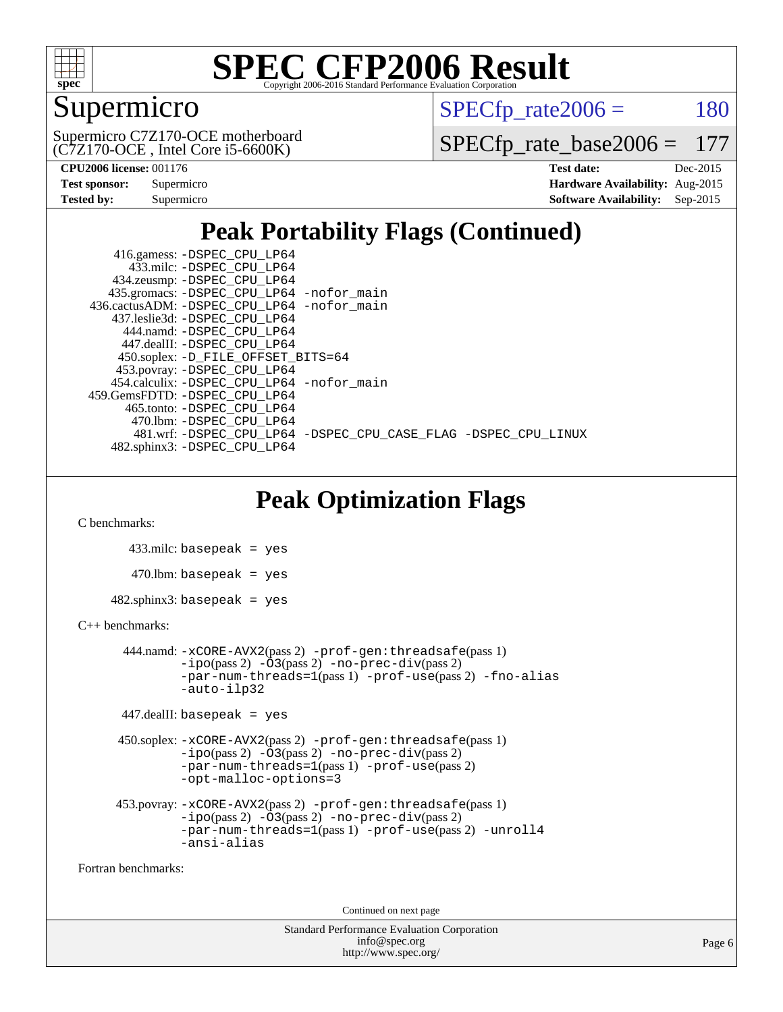

## Supermicro

 $SPECTp\_rate2006 = 180$ 

(C7Z170-OCE , Intel Core i5-6600K) Supermicro C7Z170-OCE motherboard

[SPECfp\\_rate\\_base2006 =](http://www.spec.org/auto/cpu2006/Docs/result-fields.html#SPECfpratebase2006) 177

| <b>Test sponsor:</b> | Supermicro |
|----------------------|------------|
| Tested by:           | Supermicro |

**[CPU2006 license:](http://www.spec.org/auto/cpu2006/Docs/result-fields.html#CPU2006license)** 001176 **[Test date:](http://www.spec.org/auto/cpu2006/Docs/result-fields.html#Testdate)** Dec-2015 **[Hardware Availability:](http://www.spec.org/auto/cpu2006/Docs/result-fields.html#HardwareAvailability)** Aug-2015 **[Software Availability:](http://www.spec.org/auto/cpu2006/Docs/result-fields.html#SoftwareAvailability)** Sep-2015

## **[Peak Portability Flags \(Continued\)](http://www.spec.org/auto/cpu2006/Docs/result-fields.html#PeakPortabilityFlags)**

 416.gamess: [-DSPEC\\_CPU\\_LP64](http://www.spec.org/cpu2006/results/res2016q1/cpu2006-20160106-38549.flags.html#suite_peakPORTABILITY416_gamess_DSPEC_CPU_LP64) 433.milc: [-DSPEC\\_CPU\\_LP64](http://www.spec.org/cpu2006/results/res2016q1/cpu2006-20160106-38549.flags.html#suite_peakPORTABILITY433_milc_DSPEC_CPU_LP64) 434.zeusmp: [-DSPEC\\_CPU\\_LP64](http://www.spec.org/cpu2006/results/res2016q1/cpu2006-20160106-38549.flags.html#suite_peakPORTABILITY434_zeusmp_DSPEC_CPU_LP64) 435.gromacs: [-DSPEC\\_CPU\\_LP64](http://www.spec.org/cpu2006/results/res2016q1/cpu2006-20160106-38549.flags.html#suite_peakPORTABILITY435_gromacs_DSPEC_CPU_LP64) [-nofor\\_main](http://www.spec.org/cpu2006/results/res2016q1/cpu2006-20160106-38549.flags.html#user_peakLDPORTABILITY435_gromacs_f-nofor_main) 436.cactusADM: [-DSPEC\\_CPU\\_LP64](http://www.spec.org/cpu2006/results/res2016q1/cpu2006-20160106-38549.flags.html#suite_peakPORTABILITY436_cactusADM_DSPEC_CPU_LP64) [-nofor\\_main](http://www.spec.org/cpu2006/results/res2016q1/cpu2006-20160106-38549.flags.html#user_peakLDPORTABILITY436_cactusADM_f-nofor_main) 437.leslie3d: [-DSPEC\\_CPU\\_LP64](http://www.spec.org/cpu2006/results/res2016q1/cpu2006-20160106-38549.flags.html#suite_peakPORTABILITY437_leslie3d_DSPEC_CPU_LP64) 444.namd: [-DSPEC\\_CPU\\_LP64](http://www.spec.org/cpu2006/results/res2016q1/cpu2006-20160106-38549.flags.html#suite_peakPORTABILITY444_namd_DSPEC_CPU_LP64) 447.dealII: [-DSPEC\\_CPU\\_LP64](http://www.spec.org/cpu2006/results/res2016q1/cpu2006-20160106-38549.flags.html#suite_peakPORTABILITY447_dealII_DSPEC_CPU_LP64) 450.soplex: [-D\\_FILE\\_OFFSET\\_BITS=64](http://www.spec.org/cpu2006/results/res2016q1/cpu2006-20160106-38549.flags.html#user_peakPORTABILITY450_soplex_file_offset_bits_64_438cf9856305ebd76870a2c6dc2689ab) 453.povray: [-DSPEC\\_CPU\\_LP64](http://www.spec.org/cpu2006/results/res2016q1/cpu2006-20160106-38549.flags.html#suite_peakPORTABILITY453_povray_DSPEC_CPU_LP64) 454.calculix: [-DSPEC\\_CPU\\_LP64](http://www.spec.org/cpu2006/results/res2016q1/cpu2006-20160106-38549.flags.html#suite_peakPORTABILITY454_calculix_DSPEC_CPU_LP64) [-nofor\\_main](http://www.spec.org/cpu2006/results/res2016q1/cpu2006-20160106-38549.flags.html#user_peakLDPORTABILITY454_calculix_f-nofor_main) 459.GemsFDTD: [-DSPEC\\_CPU\\_LP64](http://www.spec.org/cpu2006/results/res2016q1/cpu2006-20160106-38549.flags.html#suite_peakPORTABILITY459_GemsFDTD_DSPEC_CPU_LP64) 465.tonto: [-DSPEC\\_CPU\\_LP64](http://www.spec.org/cpu2006/results/res2016q1/cpu2006-20160106-38549.flags.html#suite_peakPORTABILITY465_tonto_DSPEC_CPU_LP64) 470.lbm: [-DSPEC\\_CPU\\_LP64](http://www.spec.org/cpu2006/results/res2016q1/cpu2006-20160106-38549.flags.html#suite_peakPORTABILITY470_lbm_DSPEC_CPU_LP64) 481.wrf: [-DSPEC\\_CPU\\_LP64](http://www.spec.org/cpu2006/results/res2016q1/cpu2006-20160106-38549.flags.html#suite_peakPORTABILITY481_wrf_DSPEC_CPU_LP64) [-DSPEC\\_CPU\\_CASE\\_FLAG](http://www.spec.org/cpu2006/results/res2016q1/cpu2006-20160106-38549.flags.html#b481.wrf_peakCPORTABILITY_DSPEC_CPU_CASE_FLAG) [-DSPEC\\_CPU\\_LINUX](http://www.spec.org/cpu2006/results/res2016q1/cpu2006-20160106-38549.flags.html#b481.wrf_peakCPORTABILITY_DSPEC_CPU_LINUX) 482.sphinx3: [-DSPEC\\_CPU\\_LP64](http://www.spec.org/cpu2006/results/res2016q1/cpu2006-20160106-38549.flags.html#suite_peakPORTABILITY482_sphinx3_DSPEC_CPU_LP64)

## **[Peak Optimization Flags](http://www.spec.org/auto/cpu2006/Docs/result-fields.html#PeakOptimizationFlags)**

[C benchmarks](http://www.spec.org/auto/cpu2006/Docs/result-fields.html#Cbenchmarks):

 433.milc: basepeak = yes  $470$ .lbm: basepeak = yes  $482$ .sphinx $3$ : basepeak = yes

#### [C++ benchmarks:](http://www.spec.org/auto/cpu2006/Docs/result-fields.html#CXXbenchmarks)

```
 444.namd: -xCORE-AVX2(pass 2) -prof-gen:threadsafe(pass 1)
       -no-prec-div(pass 2)-par-num-threads=1(pass 1) -prof-use(pass 2) -fno-alias
       -auto-ilp32
```

```
 447.dealII: basepeak = yes
```

```
 450.soplex: -xCORE-AVX2(pass 2) -prof-gen:threadsafe(pass 1)
          -i\text{po}(pass 2) -\overline{O}3(pass 2)-no-prec-div(pass 2)
          -par-num-threads=1(pass 1) -prof-use(pass 2)
          -opt-malloc-options=3
```

```
 453.povray: -xCORE-AVX2(pass 2) -prof-gen:threadsafe(pass 1)
          -i\text{po}(pass 2) -\tilde{O}3(pass 2)-no-prec-div(pass 2)
          -par-num-threads=1(pass 1) -prof-use(pass 2) -unroll4
          -ansi-alias
```
[Fortran benchmarks](http://www.spec.org/auto/cpu2006/Docs/result-fields.html#Fortranbenchmarks):

Continued on next page

```
Standard Performance Evaluation Corporation
             info@spec.org
           http://www.spec.org/
```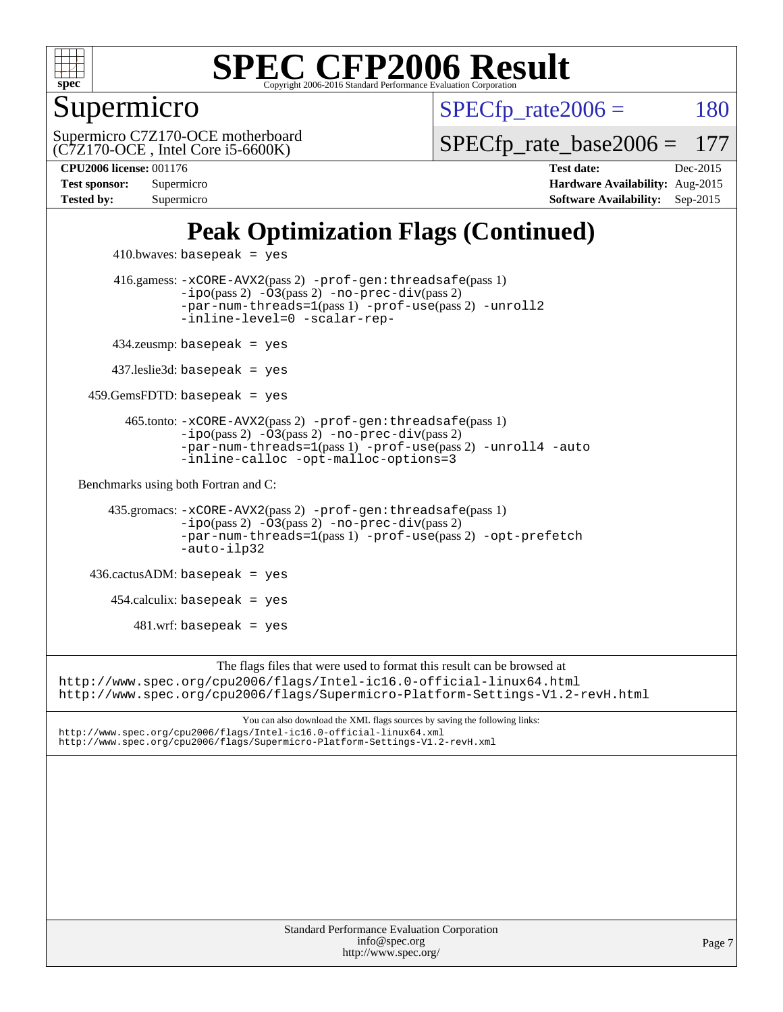

Supermicro

 $SPECTp\_rate2006 = 180$ 

(C7Z170-OCE , Intel Core i5-6600K) Supermicro C7Z170-OCE motherboard [SPECfp\\_rate\\_base2006 =](http://www.spec.org/auto/cpu2006/Docs/result-fields.html#SPECfpratebase2006) 177

**[CPU2006 license:](http://www.spec.org/auto/cpu2006/Docs/result-fields.html#CPU2006license)** 001176 **[Test date:](http://www.spec.org/auto/cpu2006/Docs/result-fields.html#Testdate)** Dec-2015 **[Test sponsor:](http://www.spec.org/auto/cpu2006/Docs/result-fields.html#Testsponsor)** Supermicro **[Hardware Availability:](http://www.spec.org/auto/cpu2006/Docs/result-fields.html#HardwareAvailability)** Aug-2015 **[Tested by:](http://www.spec.org/auto/cpu2006/Docs/result-fields.html#Testedby)** Supermicro **Supermicro [Software Availability:](http://www.spec.org/auto/cpu2006/Docs/result-fields.html#SoftwareAvailability)** Sep-2015

## **[Peak Optimization Flags \(Continued\)](http://www.spec.org/auto/cpu2006/Docs/result-fields.html#PeakOptimizationFlags)**

```
410.bwaves: basepeak = yes 416.gamess: -xCORE-AVX2(pass 2) -prof-gen:threadsafe(pass 1)
                   -i\text{po}(pass 2) -03(pass 2)-no-prec-div(pass 2)
                   -par-num-threads=1(pass 1) -prof-use(pass 2) -unroll2
                   -inline-level=0 -scalar-rep-
         434.zeusmp: basepeak = yes
         437.leslie3d: basepeak = yes
     459.GemsFDTD: basepeak = yes
           465.tonto: -xCORE-AVX2(pass 2) -prof-gen:threadsafe(pass 1)
                   -no-prec-div(pass 2)-par-num-threads=1(pass 1) -prof-use(pass 2) -unroll4 -auto
                   -inline-calloc -opt-malloc-options=3
   Benchmarks using both Fortran and C: 
        435.gromacs: -xCORE-AVX2(pass 2) -prof-gen:threadsafe(pass 1)
                   -i\text{po}(pass 2) -03(pass 2)-no-prec-div(pass 2)
                   -par-num-threads=1(pass 1) -prof-use(pass 2) -opt-prefetch
                   -auto-ilp32
     436.cactusADM: basepeak = yes
        454.calculix: basepeak = yes
           481.wrf: basepeak = yes
                        The flags files that were used to format this result can be browsed at
http://www.spec.org/cpu2006/flags/Intel-ic16.0-official-linux64.html
http://www.spec.org/cpu2006/flags/Supermicro-Platform-Settings-V1.2-revH.html
                            You can also download the XML flags sources by saving the following links:
http://www.spec.org/cpu2006/flags/Intel-ic16.0-official-linux64.xml
http://www.spec.org/cpu2006/flags/Supermicro-Platform-Settings-V1.2-revH.xml
```